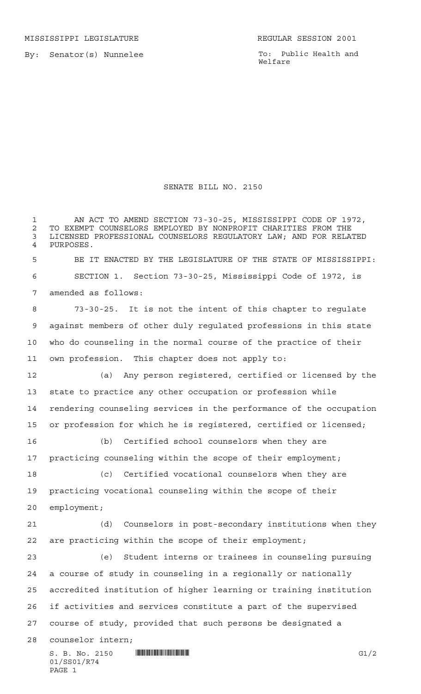By: Senator(s) Nunnelee

PAGE 1

To: Public Health and Welfare

## SENATE BILL NO. 2150

 $S. B. No. 2150$  **INNIFICANTILA INTERNATIONAL EXAMPLE 12** G1/2 01/SS01/R74 1 AN ACT TO AMEND SECTION 73-30-25, MISSISSIPPI CODE OF 1972, 2 TO EXEMPT COUNSELORS EMPLOYED BY NONPROFIT CHARITIES FROM THE<br>3 LICENSED PROFESSIONAL COUNSELORS REGULATORY LAW: AND FOR RELA' LICENSED PROFESSIONAL COUNSELORS REGULATORY LAW; AND FOR RELATED PURPOSES. BE IT ENACTED BY THE LEGISLATURE OF THE STATE OF MISSISSIPPI: SECTION 1. Section 73-30-25, Mississippi Code of 1972, is amended as follows: 73-30-25. It is not the intent of this chapter to regulate against members of other duly regulated professions in this state who do counseling in the normal course of the practice of their own profession. This chapter does not apply to: (a) Any person registered, certified or licensed by the state to practice any other occupation or profession while rendering counseling services in the performance of the occupation or profession for which he is registered, certified or licensed; (b) Certified school counselors when they are practicing counseling within the scope of their employment; (c) Certified vocational counselors when they are practicing vocational counseling within the scope of their employment; (d) Counselors in post-secondary institutions when they are practicing within the scope of their employment; (e) Student interns or trainees in counseling pursuing a course of study in counseling in a regionally or nationally accredited institution of higher learning or training institution if activities and services constitute a part of the supervised course of study, provided that such persons be designated a counselor intern;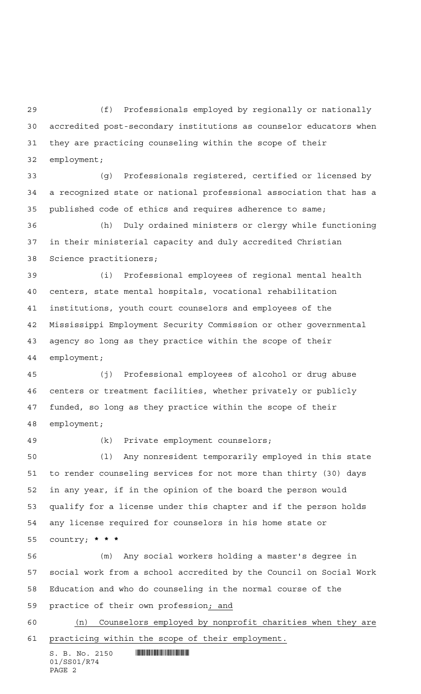(f) Professionals employed by regionally or nationally accredited post-secondary institutions as counselor educators when they are practicing counseling within the scope of their

employment;

 (g) Professionals registered, certified or licensed by a recognized state or national professional association that has a published code of ethics and requires adherence to same;

 (h) Duly ordained ministers or clergy while functioning in their ministerial capacity and duly accredited Christian Science practitioners;

 (i) Professional employees of regional mental health centers, state mental hospitals, vocational rehabilitation institutions, youth court counselors and employees of the Mississippi Employment Security Commission or other governmental agency so long as they practice within the scope of their employment;

 (j) Professional employees of alcohol or drug abuse centers or treatment facilities, whether privately or publicly funded, so long as they practice within the scope of their employment;

## (k) Private employment counselors;

 (l) Any nonresident temporarily employed in this state to render counseling services for not more than thirty (30) days in any year, if in the opinion of the board the person would qualify for a license under this chapter and if the person holds any license required for counselors in his home state or country; **\*\*\***

 (m) Any social workers holding a master's degree in social work from a school accredited by the Council on Social Work Education and who do counseling in the normal course of the practice of their own profession; and

 (n) Counselors employed by nonprofit charities when they are practicing within the scope of their employment.

 $S. B. No. 2150$  .  $\blacksquare$ 01/SS01/R74 PAGE 2